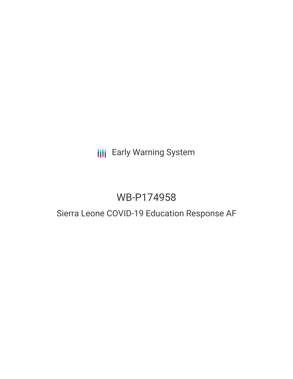# **III** Early Warning System

# WB-P174958

# Sierra Leone COVID-19 Education Response AF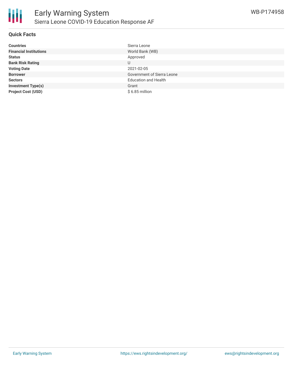

## **Quick Facts**

| <b>Countries</b>              | Sierra Leone                      |
|-------------------------------|-----------------------------------|
| <b>Financial Institutions</b> | World Bank (WB)                   |
| <b>Status</b>                 | Approved                          |
| <b>Bank Risk Rating</b>       | U                                 |
| <b>Voting Date</b>            | 2021-02-05                        |
| <b>Borrower</b>               | <b>Government of Sierra Leone</b> |
| <b>Sectors</b>                | <b>Education and Health</b>       |
| <b>Investment Type(s)</b>     | Grant                             |
| <b>Project Cost (USD)</b>     | $$6.85$ million                   |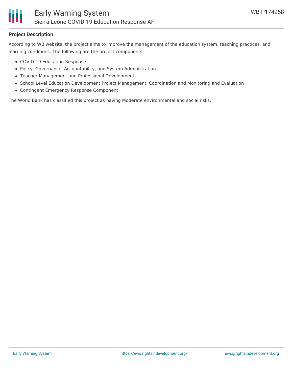

### **Project Description**

According to WB website, the project aims to improve the management of the education system, teaching practices, and learning conditions. The following are the project components:

- COVID-19 Education Response
- Policy, Governance, Accountability, and System Administration
- Teacher Management and Professional Development
- School Level Education Development Project Management, Coordination and Monitoring and Evaluation
- Contingent Emergency Response Component

The World Bank has classified this project as having Moderate environmental and social risks.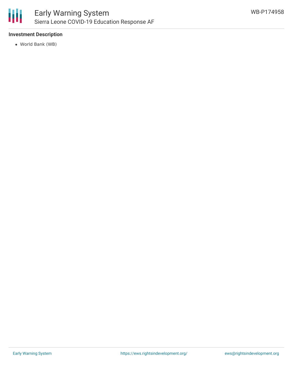

# **Investment Description**

World Bank (WB)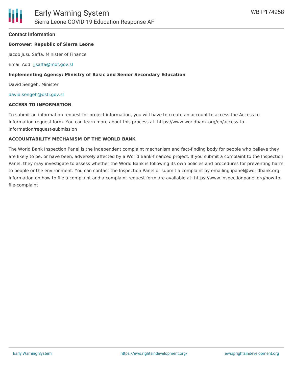### **Contact Information**

#### **Borrower: Republic of Sierra Leone**

Jacob Jusu Saffa, Minister of Finance

Email Add: [jjsaffa@mof.gov.sl](mailto:jjsaffa@mof.gov.sl)

#### **Implementing Agency: Ministry of Basic and Senior Secondary Education**

David Sengeh, Minister

[david.sengeh@dsti.gov.sl](mailto:david.sengeh@dsti.gov.sl)

#### **ACCESS TO INFORMATION**

To submit an information request for project information, you will have to create an account to access the Access to Information request form. You can learn more about this process at: https://www.worldbank.org/en/access-toinformation/request-submission

#### **ACCOUNTABILITY MECHANISM OF THE WORLD BANK**

The World Bank Inspection Panel is the independent complaint mechanism and fact-finding body for people who believe they are likely to be, or have been, adversely affected by a World Bank-financed project. If you submit a complaint to the Inspection Panel, they may investigate to assess whether the World Bank is following its own policies and procedures for preventing harm to people or the environment. You can contact the Inspection Panel or submit a complaint by emailing ipanel@worldbank.org. Information on how to file a complaint and a complaint request form are available at: https://www.inspectionpanel.org/how-tofile-complaint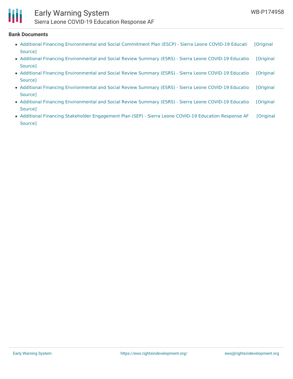

# Early Warning System Sierra Leone COVID-19 Education Response AF

#### **Bank Documents**

- Additional Financing [Environmental](https://ewsdata.rightsindevelopment.org/files/documents/58/WB-P174958_8zcw3W3.pdf) and Social Commitment Plan (ESCP) Sierra Leone COVID-19 Educati [Original Source]
- Additional Financing [Environmental](https://ewsdata.rightsindevelopment.org/files/documents/58/WB-P174958.pdf) and Social Review Summary (ESRS) Sierra Leone COVID-19 Educatio [Original Source]
- Additional Financing [Environmental](https://ewsdata.rightsindevelopment.org/files/documents/58/WB-P174958_VXY8mw7.pdf) and Social Review Summary (ESRS) Sierra Leone COVID-19 Educatio [Original Source]
- Additional Financing [Environmental](https://ewsdata.rightsindevelopment.org/files/documents/58/WB-P174958_zsJSthp.pdf) and Social Review Summary (ESRS) Sierra Leone COVID-19 Educatio [Original Source]
- Additional Financing [Environmental](https://ewsdata.rightsindevelopment.org/files/documents/58/WB-P174958_cTIteZ5.pdf) and Social Review Summary (ESRS) Sierra Leone COVID-19 Educatio [Original Source]
- Additional Financing Stakeholder [Engagement](https://ewsdata.rightsindevelopment.org/files/documents/58/WB-P174958_0av1RZd.pdf) Plan (SEP) Sierra Leone COVID-19 Education Response AF [Original Source]